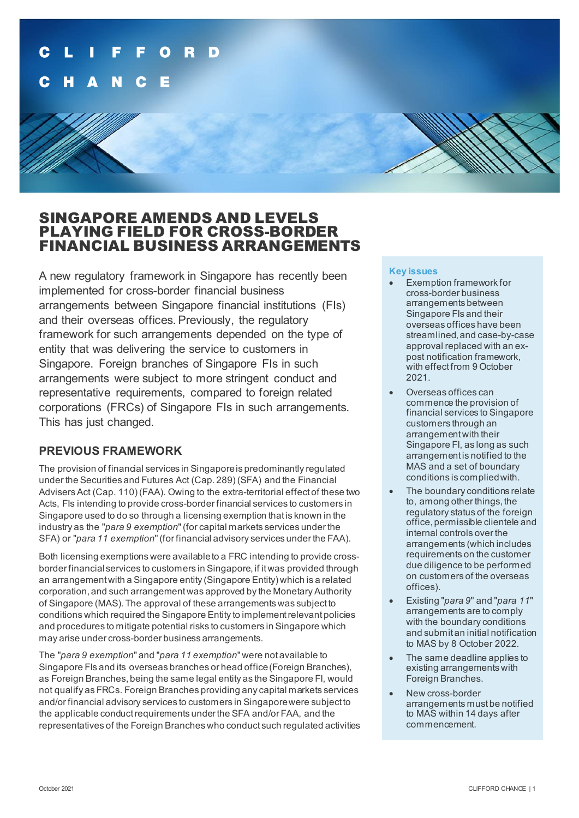## SINGAPORE AMENDS AND LEVELS PLAYING FIELD FOR CROSS-BORDER FINANCIAL BUSINESS ARRANGEMENTS

A new regulatory framework in Singapore has recently been implemented for cross-border financial business arrangements between Singapore financial institutions (FIs) and their overseas offices. Previously, the regulatory framework for such arrangements depended on the type of entity that was delivering the service to customers in Singapore. Foreign branches of Singapore FIs in such arrangements were subject to more stringent conduct and representative requirements, compared to foreign related corporations (FRCs) of Singapore FIs in such arrangements. This has just changed.

### **PREVIOUS FRAMEWORK**

The provision of financial services in Singapore is predominantly regulated under the Securities and Futures Act (Cap. 289) (SFA) and the Financial Advisers Act (Cap. 110) (FAA). Owing to the extra-territorial effect of these two Acts, FIs intending to provide cross-border financial services to customers in Singapore used to do so through a licensing exemption that is known in the industry as the "*para 9 exemption*" (for capital markets services under the SFA) or "*para 11 exemption*" (for financial advisory services under the FAA).

Both licensing exemptions were available to a FRC intending to provide crossborder financial services to customers in Singapore, if it was provided through an arrangement with a Singapore entity (Singapore Entity) which is a related corporation, and such arrangement was approved by the Monetary Authority of Singapore (MAS). The approval of these arrangements was subject to conditions which required the Singapore Entity to implement relevant policies and procedures to mitigate potential risks to customers in Singapore which may arise under cross-border business arrangements.

The "*para 9 exemption*" and "*para 11 exemption*" were not available to Singapore FIs and its overseas branches or head office(Foreign Branches), as Foreign Branches, being the same legal entity as the Singapore FI, would not qualify as FRCs. Foreign Branches providing any capital markets services and/or financial advisory services to customers in Singapore were subject to the applicable conduct requirements under the SFA and/or FAA, and the representatives of the Foreign Branches who conduct such regulated activities

### **Key issues**

- Exemption framework for cross-border business arrangements between Singapore FIs and their overseas offices have been streamlined, and case-by-case approval replaced with an expost notification framework, with effect from 9 October 2021.
- Overseas offices can commence the provision of financial services to Singapore customers through an arrangement with their Singapore FI, as long as such arrangement is notified to the MAS and a set of boundary conditions is complied with.
- The boundary conditions relate to, among other things, the regulatory status of the foreign office, permissible clientele and internal controls over the arrangements (which includes requirements on the customer due diligence to be performed on customers of the overseas offices).
- Existing "*para 9*" and "*para 11*" arrangements are to comply with the boundary conditions and submit an initial notification to MAS by 8 October 2022.
- The same deadline applies to existing arrangements with Foreign Branches.
- New cross-border arrangements must be notified to MAS within 14 days after commencement.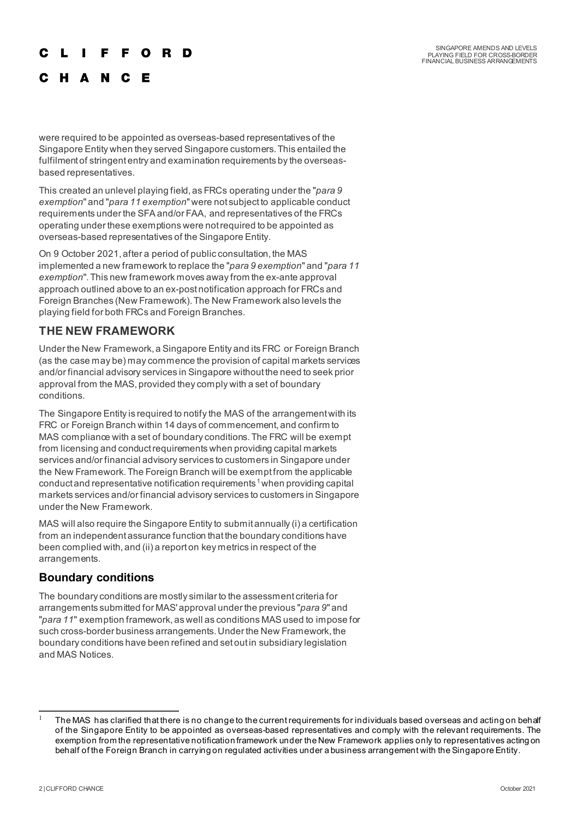#### Е F. O R D

C H A N C E

were required to be appointed as overseas-based representatives of the Singapore Entity when they served Singapore customers. This entailed the fulfilment of stringent entry and examination requirements by the overseasbased representatives.

This created an unlevel playing field, as FRCs operating under the "*para 9 exemption*" and "*para 11 exemption*" were not subject to applicable conduct requirements under the SFA and/or FAA, and representatives of the FRCs operating under these exemptions were not required to be appointed as overseas-based representatives of the Singapore Entity.

On 9 October 2021, after a period of public consultation, the MAS implemented a new framework to replace the "*para 9 exemption*" and "*para 11 exemption*". This new framework moves away from the ex-ante approval approach outlined above to an ex-post notification approach for FRCs and Foreign Branches (New Framework). The New Framework also levels the playing field for both FRCs and Foreign Branches.

### **THE NEW FRAMEWORK**

Under the New Framework, a Singapore Entity and its FRC or Foreign Branch (as the case may be) may commence the provision of capital markets services and/or financial advisory services in Singapore without the need to seek prior approval from the MAS, provided they comply with a set of boundary conditions.

The Singapore Entity is required to notify the MAS of the arrangement with its FRC or Foreign Branch within 14 days of commencement, and confirm to MAS compliance with a set of boundary conditions. The FRC will be exempt from licensing and conduct requirements when providing capital markets services and/or financial advisory services to customers in Singapore under the New Framework. The Foreign Branch will be exempt from the applicable conduct and representative notification requirements<sup>[1](#page-1-0)</sup> when providing capital markets services and/or financial advisory services to customers in Singapore under the New Framework.

MAS will also require the Singapore Entity to submit annually (i) a certification from an independent assurance function that the boundary conditions have been complied with, and (ii) a report on key metrics in respect of the arrangements.

### **Boundary conditions**

The boundary conditions are mostly similar to the assessment criteria for arrangements submitted for MAS' approval under the previous "*para 9*" and "*para 11*" exemption framework, as well as conditions MAS used to impose for such cross-border business arrangements. Under the New Framework, the boundary conditions have been refined and set out in subsidiary legislation and MAS Notices.

<span id="page-1-0"></span>The MAS has clarified that there is no change to the current requirements for individuals based overseas and acting on behalf of the Singapore Entity to be appointed as overseas-based representatives and comply with the relevant requirements. The exemption from the representative notification framework under the New Framework applies only to representatives acting on behalf of the Foreign Branch in carrying on regulated activities under a business arrangement with the Singapore Entity.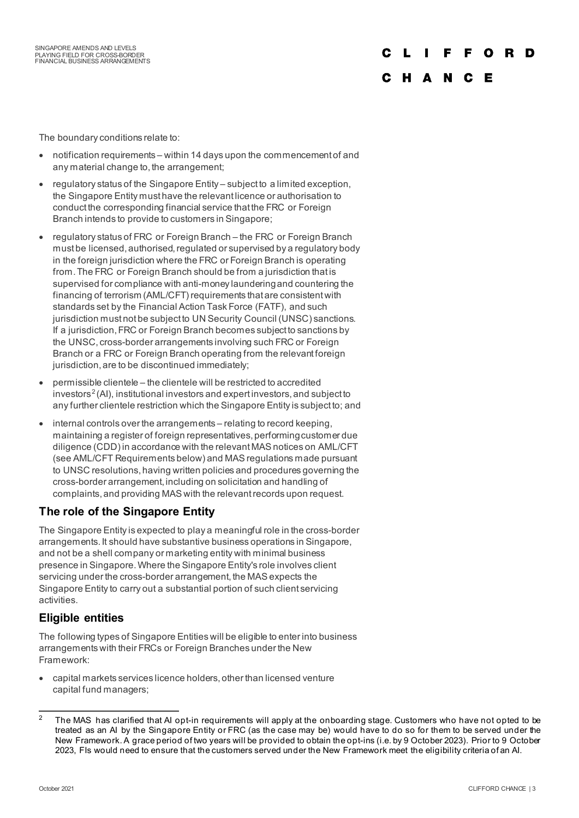# C

#### C H A N C E

The boundary conditions relate to:

- notification requirements within 14 days upon the commencement of and any material change to, the arrangement;
- regulatory status of the Singapore Entity subject to a limited exception, the Singapore Entity must have the relevant licence or authorisation to conduct the corresponding financial service that the FRC or Foreign Branch intends to provide to customers in Singapore;
- regulatory status of FRC or Foreign Branch the FRC or Foreign Branch must be licensed, authorised, regulated or supervised by a regulatory body in the foreign jurisdiction where the FRC or Foreign Branch is operating from. The FRC or Foreign Branch should be from a jurisdiction that is supervised for compliance with anti-money laundering and countering the financing of terrorism (AML/CFT) requirements that are consistent with standards set by the Financial Action Task Force (FATF), and such jurisdiction must not be subject to UN Security Council (UNSC) sanctions. If a jurisdiction, FRC or Foreign Branch becomes subject to sanctions by the UNSC, cross-border arrangements involving such FRC or Foreign Branch or a FRC or Foreign Branch operating from the relevant foreign jurisdiction, are to be discontinued immediately;
- permissible clientele the clientele will be restricted to accredited investors<sup>[2](#page-2-0)</sup> (AI), institutional investors and expert investors, and subject to any further clientele restriction which the Singapore Entity is subject to; and
- internal controls over the arrangements relating to record keeping, maintaining a register of foreign representatives, performing customer due diligence (CDD) in accordance with the relevant MAS notices on AML/CFT (see AML/CFT Requirements below) and MAS regulations made pursuant to UNSC resolutions, having written policies and procedures governing the cross-border arrangement, including on solicitation and handling of complaints, and providing MAS with the relevant records upon request.

### **The role of the Singapore Entity**

The Singapore Entity is expected to play a meaningful role in the cross-border arrangements. It should have substantive business operations in Singapore, and not be a shell company or marketing entity with minimal business presence in Singapore. Where the Singapore Entity's role involves client servicing under the cross-border arrangement, the MAS expects the Singapore Entity to carry out a substantial portion of such client servicing activities.

### **Eligible entities**

The following types of Singapore Entities will be eligible to enter into business arrangements with their FRCs or Foreign Branches under the New Framework:

• capital markets services licence holders, other than licensed venture capital fund managers;

<span id="page-2-0"></span><sup>&</sup>lt;sup>2</sup> The MAS has clarified that AI opt-in requirements will apply at the onboarding stage. Customers who have not opted to be treated as an AI by the Singapore Entity or FRC (as the case may be) would have to do so for them to be served under the New Framework. A grace period of two years will be provided to obtain the opt-ins (i.e. by 9 October 2023). Prior to 9 October 2023, FIs would need to ensure that the customers served under the New Framework meet the eligibility criteria of an AI.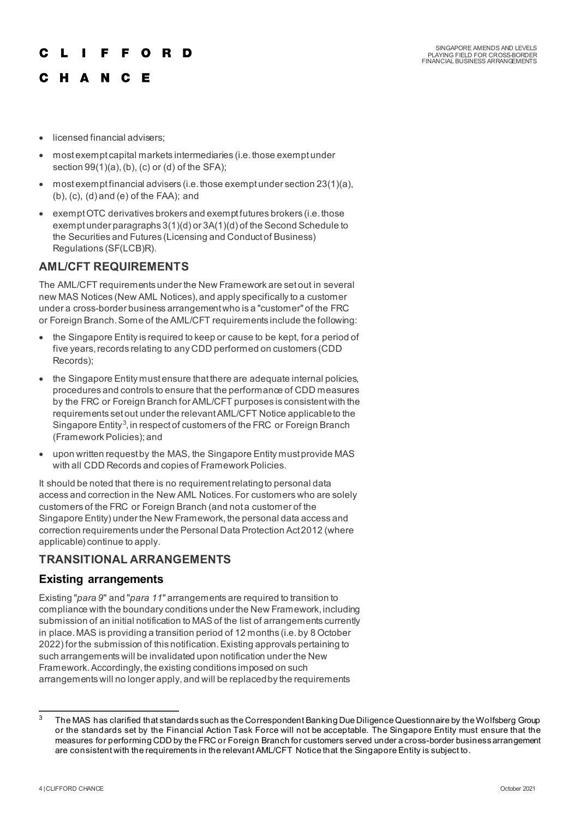# F F O R D

# C H A N C E

- licensed financial advisers;
- most exempt capital markets intermediaries (i.e. those exempt under section 99(1)(a), (b), (c) or (d) of the SFA);
- most exempt financial advisers (i.e. those exempt under section 23(1)(a), (b), (c), (d) and (e) of the FAA); and
- exempt OTC derivatives brokers and exempt futures brokers (i.e. those exempt under paragraphs 3(1)(d) or 3A(1)(d) of the Second Schedule to the Securities and Futures (Licensing and Conduct of Business) Regulations (SF(LCB)R).

# **AML/CFT REQUIREMENTS**

The AML/CFT requirements under the New Framework are set out in several new MAS Notices (New AML Notices), and apply specifically to a customer under a cross-border business arrangement who is a "customer" of the FRC or Foreign Branch. Some of the AML/CFT requirements include the following:

- the Singapore Entity is required to keep or cause to be kept, for a period of five years, records relating to any CDD performed on customers (CDD Records);
- the Singapore Entity must ensure that there are adequate internal policies, procedures and controls to ensure that the performance of CDD measures by the FRC or Foreign Branch for AML/CFT purposes is consistent with the requirements set out under the relevant AML/CFT Notice applicable to the Singapore Entity<sup>[3](#page-3-0)</sup>, in respect of customers of the FRC or Foreign Branch (Framework Policies); and
- upon written request by the MAS, the Singapore Entity must provide MAS with all CDD Records and copies of Framework Policies.

It should be noted that there is no requirement relating to personal data access and correction in the New AML Notices. For customers who are solely customers of the FRC or Foreign Branch (and not a customer of the Singapore Entity) under the New Framework, the personal data access and correction requirements under the Personal Data Protection Act 2012 (where applicable) continue to apply.

# **TRANSITIONAL ARRANGEMENTS**

## **Existing arrangements**

Existing "*para 9*" and "*para 11*" arrangements are required to transition to compliance with the boundary conditions under the New Framework, including submission of an initial notification to MAS of the list of arrangements currently in place. MAS is providing a transition period of 12 months (i.e. by 8 October 2022) for the submission of this notification.Existing approvals pertaining to such arrangements will be invalidated upon notification under the New Framework. Accordingly, the existing conditions imposed on such arrangements will no longer apply, and will be replaced by the requirements

<span id="page-3-0"></span> $3$  The MAS has clarified that standards such as the Correspondent Banking Due Diligence Questionnaire by the Wolfsberg Group or the standards set by the Financial Action Task Force will not be acceptable. The Singapore Entity must ensure that the measures for performing CDD by the FRC or Foreign Branch for customers served under a cross-border business arrangement are consistent with the requirements in the relevant AML/CFT Notice that the Singapore Entity is subject to.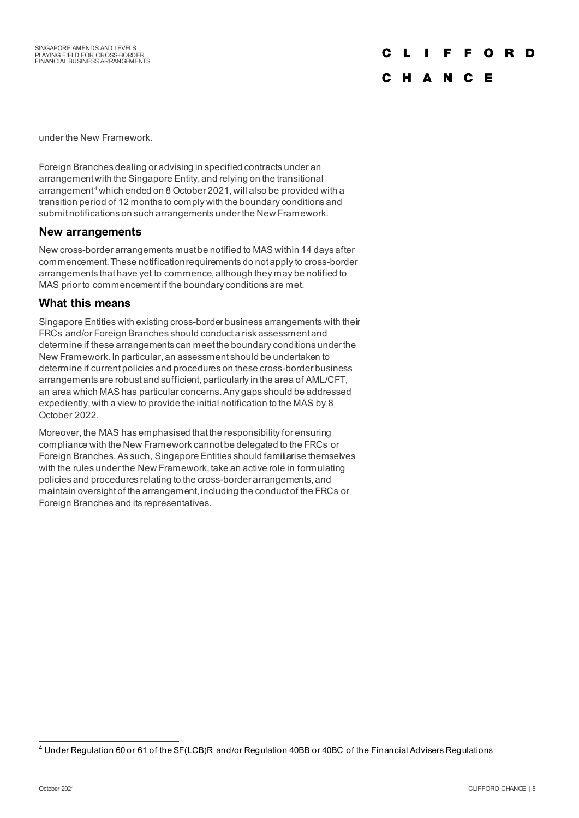# F O R D

### C H A N C E

under the New Framework.

Foreign Branches dealing or advising in specified contracts under an arrangement with the Singapore Entity, and relying on the transitional arrangement<sup>[4](#page-4-0)</sup> which ended on 8 October 2021, will also be provided with a transition period of 12 months to comply with the boundary conditions and submit notifications on such arrangements under the New Framework.

### **New arrangements**

New cross-border arrangements must be notified to MAS within 14 days after commencement. These notification requirements do not apply to cross-border arrangements that have yet to commence, although they may be notified to MAS prior to commencement if the boundary conditions are met.

### **What this means**

Singapore Entities with existing cross-border business arrangements with their FRCs and/or Foreign Branches should conduct a risk assessment and determine if these arrangements can meet the boundary conditions under the New Framework. In particular, an assessment should be undertaken to determine if current policies and procedures on these cross-border business arrangements are robust and sufficient, particularly in the area of AML/CFT, an area which MAS has particular concerns. Any gaps should be addressed expediently, with a view to provide the initial notification to the MAS by 8 October 2022.

Moreover, the MAS has emphasised that the responsibility for ensuring compliance with the New Framework cannot be delegated to the FRCs or Foreign Branches. As such, Singapore Entities should familiarise themselves with the rules under the New Framework, take an active role in formulating policies and procedures relating to the cross-border arrangements, and maintain oversight of the arrangement, including the conduct of the FRCs or Foreign Branches and its representatives.

<span id="page-4-0"></span><sup>4</sup> Under Regulation 60 or 61 of the SF(LCB)R and/or Regulation 40BB or 40BC of the Financial Advisers Regulations